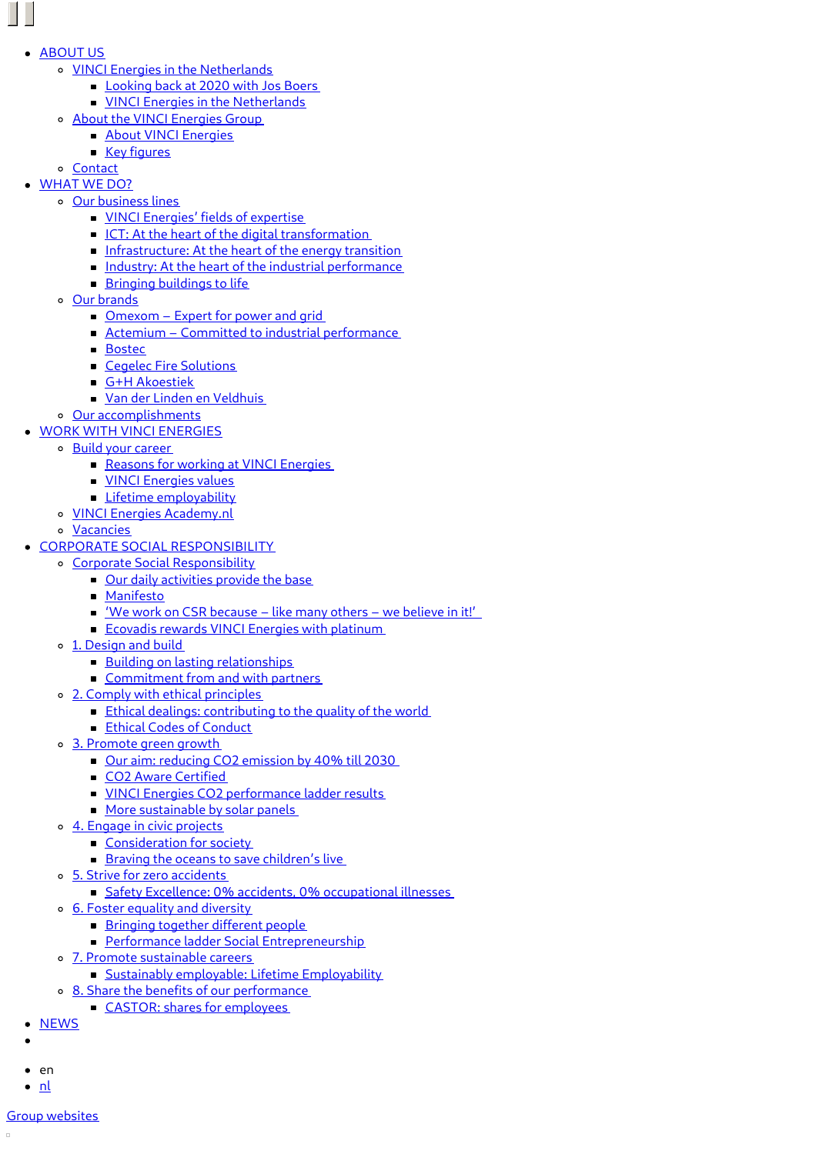- [ABOUT](https://www.vinci-energies.nl/en/about-us/) US
	- VINCI Energies in the [Netherlands](https://www.vinci-energies.nl/en/about-us/vinci-energies-netherlands/vinci-energies-netherlands/)
		- **[Looking](https://www.vinci-energies.nl/en/about-us/vinci-energies-netherlands/looking-back-2020-jos-boers/) back at 2020 with Jos Boers**
		- **VINCI Energies in the [Netherlands](https://www.vinci-energies.nl/en/about-us/vinci-energies-netherlands/vinci-energies-netherlands/)**
	- About the VINCI [Energies](https://www.vinci-energies.nl/en/about-us/vinci-energies-group/about-vinci-energies/) Group
		- **About VINCI [Energies](https://www.vinci-energies.nl/en/about-us/vinci-energies-group/about-vinci-energies/)**
		- **Key [figures](https://www.vinci-energies.nl/en/about-us/vinci-energies-group/key-figures/)**
	- [Contact](https://www.vinci-energies.nl/en/about-us/contact/)
- [WHAT](https://www.vinci-energies.nl/en/what-we-do/) WE DO?
	- o Our [business](http://www.vinci-energies.nl/en/what-we-do/#our-business-lines) lines
		- **VINCI [Energies'](https://www.vinci-energies.nl/en/what-we-do/our-business-lines/4104-2/) fields of expertise**
		- ICT: At the heart of the digital [transformation](https://www.vinci-energies.nl/en/what-we-do/our-business-lines/ict-heart-digital-transformation/)
		- [Infrastructure:](https://www.vinci-energies.nl/en/what-we-do/our-business-lines/infrastructure-heart-energy-transition/) At the heart of the energy transition
		- Industry: At the heart of the industrial [performance](https://www.vinci-energies.nl/en/what-we-do/our-business-lines/industry-heart-industrial-performance/)
		- **Bringing [buildings](https://www.vinci-energies.nl/en/what-we-do/our-business-lines/building-solutions-making-buildings-smarter-sustainable/) to life**
	- Our [brands](http://www.vinci-energies.nl/en/what-we-do/#our-brands)
		- [Omexom](https://www.vinci-energies.nl/en/what-we-do/our-brands/omexom-expert-for-power-grid/) Expert for power and grid
		- Actemium Committed to industrial [performance](https://www.vinci-energies.nl/en/what-we-do/our-brands/actemium/)
		- **[Bostec](https://www.vinci-energies.nl/en/what-we-do/our-brands/bostec/)**
		- Cegelec Fire [Solutions](https://www.vinci-energies.nl/en/what-we-do/our-brands/cegelec-fire-solutions/)
		- G+H [Akoestiek](https://www.vinci-energies.nl/en/what-we-do/our-brands/gh-akoestiek/)
		- Van der Linden en [Veldhuis](https://www.vinci-energies.nl/en/what-we-do/our-brands/van-der-linden-en-veldhuis/)
	- Our [accomplishments](https://www.vinci-energies.nl/en/what-we-do/our-accomplishments/)
- WORK WITH VINCI [ENERGIES](https://www.vinci-energies.nl/en/careers/)
	- Build your [career](http://www.vinci-energies.nl/en/careers/)
		- Reasons for working at VINCI [Energies](https://www.vinci-energies.nl/en/careers/global-hr-message/reasons-working-vinci-energies/)
		- **VINCI [Energies](https://www.vinci-energies.nl/en/careers/vinci-energies-values/) values**
		- **Lifetime [employability](https://www.vinci-energies.nl/en/careers/global-hr-message/lifetime-employability/)**
		- VINCI Energies [Academy.nl](https://www.vinci-energies.nl/en/careers/vinci-energies-academy-nl/)
- [Vacancies](https://www.vinci-energies.nl/en/careers/vacancies/)
- CORPORATE SOCIAL [RESPONSIBILITY](https://www.vinci-energies.nl/en/sustainability/)
	- Corporate Social [Responsibility](http://www.vinci-energies.nl/en/sustainability/)
		- Our daily [activities](https://www.vinci-energies.nl/en/sustainability/corporate-social-responsibility/daily-activities-provide-base/) provide the base
		- **[Manifesto](https://www.vinci-energies.nl/en/sustainability/corporate-social-responsibility/manifesto/)**
		- 'We work on CSR [because](https://www.vinci-energies.nl/en/?page_id=6156) like many others we believe in it!'
		- Ecovadis rewards VINCI Energies with [platinum](https://www.vinci-energies.nl/en/sustainability/corporate-social-responsibility/the-market-recognises-our-focus-on-csr/)
	- o 1. [Design](https://www.vinci-energies.nl/en/sustainability/1-design-build/) and build
		- **Building on lasting [relationships](https://www.vinci-energies.nl/en/sustainability/1-design-build/building-lasting-relationships/)**
		- [Commitment](https://www.vinci-energies.nl/en/sustainability/1-design-build/commitment-from-and-with-partners/) from and with partners
	- 2. Comply with ethical [principles](https://www.vinci-energies.nl/en/sustainability/2-comply-ethical-principles/)
		- **Ethical dealings: [contributing](https://www.vinci-energies.nl/en/sustainability/2-comply-ethical-principles/ethical-dealings/) to the quality of the world**
		- **Ethical Codes of [Conduct](https://www.vinci-energies.nl/en/sustainability/2-comply-ethical-principles/ethical-codes-conduct/)**
	- 3. [Promote](https://www.vinci-energies.nl/en/sustainability#corporate-social-responsibility) green growth
		- Our aim: reducing CO2 [emission](https://www.vinci-energies.nl/en/sustainability/promote-green-growth/our-aim-reducing-co2-emission-2030/) by 40% till 2030
		- CO2 Aware [Certified](https://www.vinci-energies.nl/en/sustainability/promote-green-growth/co2-aware-certified/)
		- **VINCI Energies CO2 [performance](https://www.vinci-energies.nl/en/sustainability/promote-green-growth/vinci-energies-co2-performance-ladder-results/) ladder results**
		- **More [sustainable](https://www.vinci-energies.nl/en/sustainability/promote-green-growth/sustainable-solar-panels/) by solar panels**
	- 4. Engage in civic [projects](https://www.vinci-energies.nl/en/sustainability/4-engage-civic-projects/)
		- [Consideration](https://www.vinci-energies.nl/en/sustainability/4-engage-civic-projects/consideration-for-society/) for society
		- **Braving the oceans to save [children's](https://www.vinci-energies.nl/en/sustainability/4-engage-civic-projects/braving-oceans-save-childrens-live/) live**
	- 5. Strive for zero [accidents](https://www.vinci-energies.nl/en/sustainability/5-strive-zero-accidents/)
		- Safety Excellence: 0% accidents, 0% [occupational](https://www.vinci-energies.nl/en/sustainability/5-strive-zero-accidents/safety-excellence/) illnesses
	- 6. Foster equality and [diversity](https://www.vinci-energies.nl/en/sustainability/6-foster-equality-diversity/)
		- **Bringing together [different](https://www.vinci-energies.nl/en/sustainability/6-foster-equality-diversity/bringing-together-different-people/) people**
		- **Performance ladder Social [Entrepreneurship](https://www.vinci-energies.nl/en/sustainability/6-foster-equality-diversity/performance-ladder-social-entrepreneurship/)**
	- 7. Promote [sustainable](https://www.vinci-energies.nl/en/sustainability/7-promote-sustainable-careers/) careers
		- **Sustainably employable: Lifetime [Employability](https://www.vinci-energies.nl/en/sustainability/7-promote-sustainable-careers/sustainably-employable-lifetime-employability/)**
	- <sup>o</sup> 8. Share the benefits of our [performance](https://www.vinci-energies.nl/en/sustainability/8-share-benefits-performance/)
	- CASTOR: shares for [employees](https://www.vinci-energies.nl/en/sustainability/8-share-benefits-performance/castor-shares-employees/)
- **[NEWS](https://www.vinci-energies.nl/en/news/news/)**
- 
- $e$  en
- $\bullet$  [nl](https://www.vinci-energies.nl/nl/wat-we-doen/onze-merken/ai-kwant-civiel/)